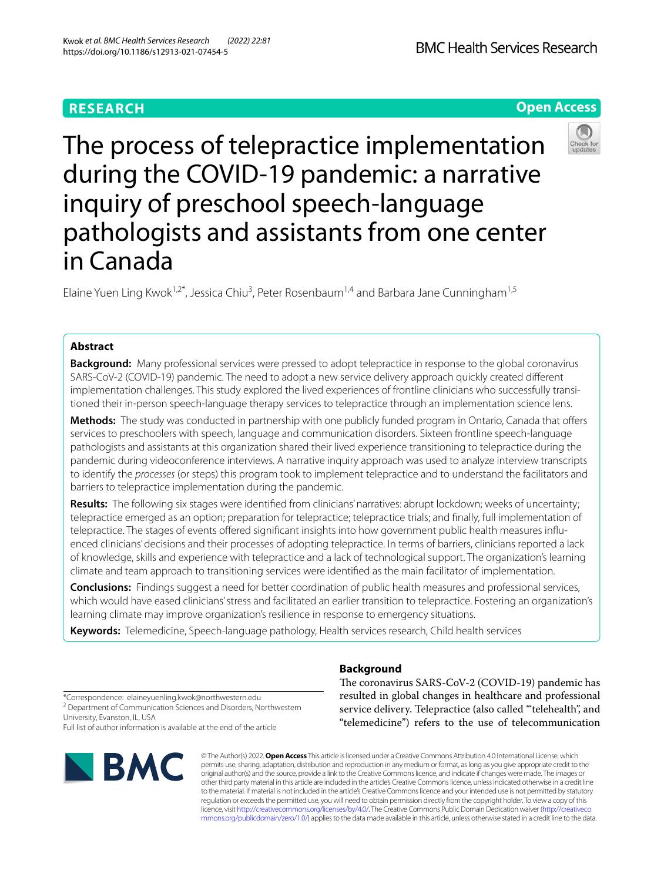# **RESEARCH**

**Open Access**



Elaine Yuen Ling Kwok<sup>1,2\*</sup>, Jessica Chiu<sup>3</sup>, Peter Rosenbaum<sup>1,4</sup> and Barbara Jane Cunningham<sup>1,5</sup>

# **Abstract**

**Background:** Many professional services were pressed to adopt telepractice in response to the global coronavirus SARS-CoV-2 (COVID-19) pandemic. The need to adopt a new service delivery approach quickly created diferent implementation challenges. This study explored the lived experiences of frontline clinicians who successfully transitioned their in-person speech-language therapy services to telepractice through an implementation science lens.

**Methods:** The study was conducted in partnership with one publicly funded program in Ontario, Canada that ofers services to preschoolers with speech, language and communication disorders. Sixteen frontline speech-language pathologists and assistants at this organization shared their lived experience transitioning to telepractice during the pandemic during videoconference interviews. A narrative inquiry approach was used to analyze interview transcripts to identify the *processes* (or steps) this program took to implement telepractice and to understand the facilitators and barriers to telepractice implementation during the pandemic.

**Results:** The following six stages were identifed from clinicians' narratives: abrupt lockdown; weeks of uncertainty; telepractice emerged as an option; preparation for telepractice; telepractice trials; and fnally, full implementation of telepractice. The stages of events ofered signifcant insights into how government public health measures infuenced clinicians' decisions and their processes of adopting telepractice. In terms of barriers, clinicians reported a lack of knowledge, skills and experience with telepractice and a lack of technological support. The organization's learning climate and team approach to transitioning services were identifed as the main facilitator of implementation.

**Conclusions:** Findings suggest a need for better coordination of public health measures and professional services, which would have eased clinicians' stress and facilitated an earlier transition to telepractice. Fostering an organization's learning climate may improve organization's resilience in response to emergency situations.

**Keywords:** Telemedicine, Speech-language pathology, Health services research, Child health services

# **Background**

The coronavirus SARS-CoV-2 (COVID-19) pandemic has resulted in global changes in healthcare and professional service delivery. Telepractice (also called "telehealth", and "telemedicine") refers to the use of telecommunication

\*Correspondence: elaineyuenling.kwok@northwestern.edu

<sup>2</sup> Department of Communication Sciences and Disorders, Northwestern University, Evanston, IL, USA

Full list of author information is available at the end of the article



© The Author(s) 2022. **Open Access** This article is licensed under a Creative Commons Attribution 4.0 International License, which permits use, sharing, adaptation, distribution and reproduction in any medium or format, as long as you give appropriate credit to the original author(s) and the source, provide a link to the Creative Commons licence, and indicate if changes were made. The images or other third party material in this article are included in the article's Creative Commons licence, unless indicated otherwise in a credit line to the material. If material is not included in the article's Creative Commons licence and your intended use is not permitted by statutory regulation or exceeds the permitted use, you will need to obtain permission directly from the copyright holder. To view a copy of this licence, visit [http://creativecommons.org/licenses/by/4.0/.](http://creativecommons.org/licenses/by/4.0/) The Creative Commons Public Domain Dedication waiver ([http://creativeco](http://creativecommons.org/publicdomain/zero/1.0/) [mmons.org/publicdomain/zero/1.0/](http://creativecommons.org/publicdomain/zero/1.0/)) applies to the data made available in this article, unless otherwise stated in a credit line to the data.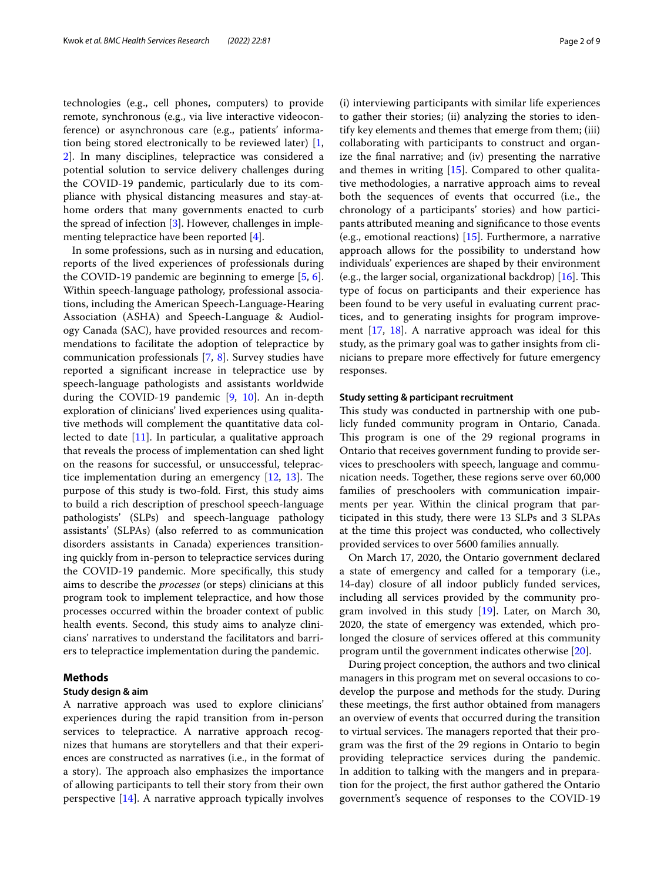technologies (e.g., cell phones, computers) to provide remote, synchronous (e.g., via live interactive videoconference) or asynchronous care (e.g., patients' information being stored electronically to be reviewed later) [\[1](#page-7-0), [2\]](#page-7-1). In many disciplines, telepractice was considered a potential solution to service delivery challenges during the COVID-19 pandemic, particularly due to its compliance with physical distancing measures and stay-athome orders that many governments enacted to curb the spread of infection [[3\]](#page-7-2). However, challenges in implementing telepractice have been reported [\[4\]](#page-7-3).

In some professions, such as in nursing and education, reports of the lived experiences of professionals during the COVID-19 pandemic are beginning to emerge [\[5](#page-7-4), [6](#page-7-5)]. Within speech-language pathology, professional associations, including the American Speech-Language-Hearing Association (ASHA) and Speech-Language & Audiology Canada (SAC), have provided resources and recommendations to facilitate the adoption of telepractice by communication professionals [\[7](#page-7-6), [8\]](#page-7-7). Survey studies have reported a signifcant increase in telepractice use by speech-language pathologists and assistants worldwide during the COVID-19 pandemic [[9](#page-7-8), [10](#page-7-9)]. An in-depth exploration of clinicians' lived experiences using qualitative methods will complement the quantitative data collected to date [\[11](#page-7-10)]. In particular, a qualitative approach that reveals the process of implementation can shed light on the reasons for successful, or unsuccessful, telepractice implementation during an emergency  $[12, 13]$  $[12, 13]$  $[12, 13]$ . The purpose of this study is two-fold. First, this study aims to build a rich description of preschool speech-language pathologists' (SLPs) and speech-language pathology assistants' (SLPAs) (also referred to as communication disorders assistants in Canada) experiences transitioning quickly from in-person to telepractice services during the COVID-19 pandemic. More specifcally, this study aims to describe the *processes* (or steps) clinicians at this program took to implement telepractice, and how those processes occurred within the broader context of public health events. Second, this study aims to analyze clinicians' narratives to understand the facilitators and barriers to telepractice implementation during the pandemic.

# **Methods**

# **Study design & aim**

A narrative approach was used to explore clinicians' experiences during the rapid transition from in-person services to telepractice. A narrative approach recognizes that humans are storytellers and that their experiences are constructed as narratives (i.e., in the format of a story). The approach also emphasizes the importance of allowing participants to tell their story from their own perspective [[14\]](#page-7-13). A narrative approach typically involves

(i) interviewing participants with similar life experiences to gather their stories; (ii) analyzing the stories to identify key elements and themes that emerge from them; (iii) collaborating with participants to construct and organize the fnal narrative; and (iv) presenting the narrative

and themes in writing [\[15](#page-7-14)]. Compared to other qualitative methodologies, a narrative approach aims to reveal both the sequences of events that occurred (i.e., the chronology of a participants' stories) and how participants attributed meaning and signifcance to those events (e.g., emotional reactions) [\[15](#page-7-14)]. Furthermore, a narrative approach allows for the possibility to understand how individuals' experiences are shaped by their environment (e.g., the larger social, organizational backdrop)  $[16]$  $[16]$  $[16]$ . This type of focus on participants and their experience has been found to be very useful in evaluating current practices, and to generating insights for program improvement [[17](#page-7-16), [18\]](#page-7-17). A narrative approach was ideal for this study, as the primary goal was to gather insights from clinicians to prepare more efectively for future emergency responses.

### **Study setting & participant recruitment**

This study was conducted in partnership with one publicly funded community program in Ontario, Canada. This program is one of the 29 regional programs in Ontario that receives government funding to provide services to preschoolers with speech, language and communication needs. Together, these regions serve over 60,000 families of preschoolers with communication impairments per year. Within the clinical program that participated in this study, there were 13 SLPs and 3 SLPAs at the time this project was conducted, who collectively provided services to over 5600 families annually.

On March 17, 2020, the Ontario government declared a state of emergency and called for a temporary (i.e., 14-day) closure of all indoor publicly funded services, including all services provided by the community program involved in this study [\[19\]](#page-7-18). Later, on March 30, 2020, the state of emergency was extended, which prolonged the closure of services ofered at this community program until the government indicates otherwise [\[20](#page-7-19)].

During project conception, the authors and two clinical managers in this program met on several occasions to codevelop the purpose and methods for the study. During these meetings, the frst author obtained from managers an overview of events that occurred during the transition to virtual services. The managers reported that their program was the frst of the 29 regions in Ontario to begin providing telepractice services during the pandemic. In addition to talking with the mangers and in preparation for the project, the frst author gathered the Ontario government's sequence of responses to the COVID-19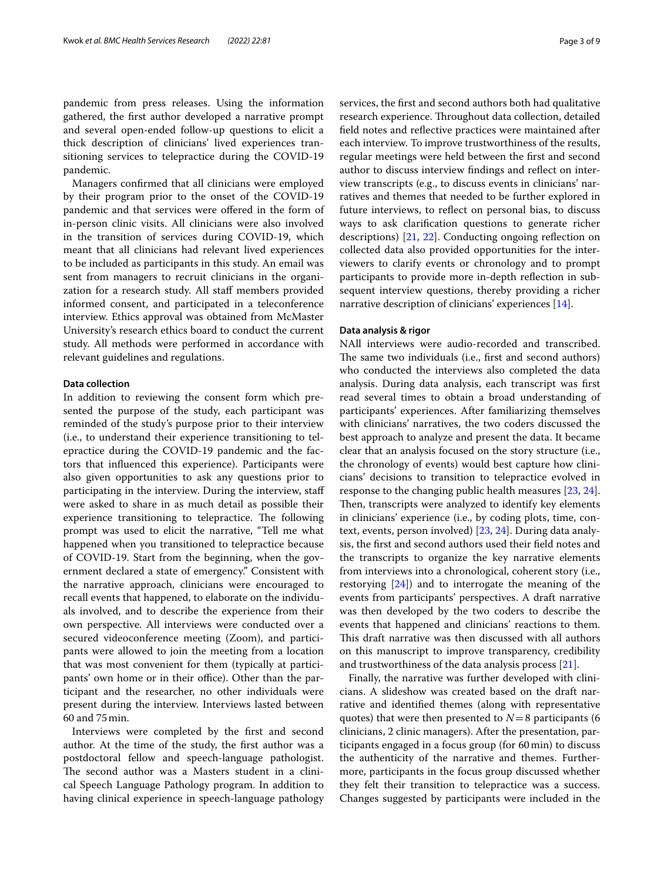pandemic from press releases. Using the information gathered, the frst author developed a narrative prompt and several open-ended follow-up questions to elicit a thick description of clinicians' lived experiences transitioning services to telepractice during the COVID-19 pandemic.

Managers confrmed that all clinicians were employed by their program prior to the onset of the COVID-19 pandemic and that services were offered in the form of in-person clinic visits. All clinicians were also involved in the transition of services during COVID-19, which meant that all clinicians had relevant lived experiences to be included as participants in this study. An email was sent from managers to recruit clinicians in the organization for a research study. All staff members provided informed consent, and participated in a teleconference interview. Ethics approval was obtained from McMaster University's research ethics board to conduct the current study. All methods were performed in accordance with relevant guidelines and regulations.

## **Data collection**

In addition to reviewing the consent form which presented the purpose of the study, each participant was reminded of the study's purpose prior to their interview (i.e., to understand their experience transitioning to telepractice during the COVID-19 pandemic and the factors that infuenced this experience). Participants were also given opportunities to ask any questions prior to participating in the interview. During the interview, staf were asked to share in as much detail as possible their experience transitioning to telepractice. The following prompt was used to elicit the narrative, "Tell me what happened when you transitioned to telepractice because of COVID-19. Start from the beginning, when the government declared a state of emergency." Consistent with the narrative approach, clinicians were encouraged to recall events that happened, to elaborate on the individuals involved, and to describe the experience from their own perspective. All interviews were conducted over a secured videoconference meeting (Zoom), and participants were allowed to join the meeting from a location that was most convenient for them (typically at participants' own home or in their office). Other than the participant and the researcher, no other individuals were present during the interview. Interviews lasted between 60 and 75min.

Interviews were completed by the frst and second author. At the time of the study, the frst author was a postdoctoral fellow and speech-language pathologist. The second author was a Masters student in a clinical Speech Language Pathology program. In addition to having clinical experience in speech-language pathology

services, the frst and second authors both had qualitative research experience. Throughout data collection, detailed feld notes and refective practices were maintained after each interview. To improve trustworthiness of the results, regular meetings were held between the frst and second author to discuss interview fndings and refect on interview transcripts (e.g., to discuss events in clinicians' narratives and themes that needed to be further explored in future interviews, to refect on personal bias, to discuss ways to ask clarifcation questions to generate richer descriptions) [\[21](#page-7-20), [22](#page-7-21)]. Conducting ongoing refection on collected data also provided opportunities for the interviewers to clarify events or chronology and to prompt participants to provide more in-depth refection in subsequent interview questions, thereby providing a richer narrative description of clinicians' experiences [\[14](#page-7-13)].

### **Data analysis & rigor**

NAll interviews were audio-recorded and transcribed. The same two individuals (i.e., first and second authors) who conducted the interviews also completed the data analysis. During data analysis, each transcript was frst read several times to obtain a broad understanding of participants' experiences. After familiarizing themselves with clinicians' narratives, the two coders discussed the best approach to analyze and present the data. It became clear that an analysis focused on the story structure (i.e., the chronology of events) would best capture how clinicians' decisions to transition to telepractice evolved in response to the changing public health measures [[23,](#page-7-22) [24](#page-7-23)]. Then, transcripts were analyzed to identify key elements in clinicians' experience (i.e., by coding plots, time, context, events, person involved) [[23,](#page-7-22) [24](#page-7-23)]. During data analysis, the frst and second authors used their feld notes and the transcripts to organize the key narrative elements from interviews into a chronological, coherent story (i.e., restorying [\[24\]](#page-7-23)) and to interrogate the meaning of the events from participants' perspectives. A draft narrative was then developed by the two coders to describe the events that happened and clinicians' reactions to them. This draft narrative was then discussed with all authors on this manuscript to improve transparency, credibility and trustworthiness of the data analysis process [[21](#page-7-20)].

Finally, the narrative was further developed with clinicians. A slideshow was created based on the draft narrative and identifed themes (along with representative quotes) that were then presented to  $N=8$  participants (6) clinicians, 2 clinic managers). After the presentation, participants engaged in a focus group (for 60min) to discuss the authenticity of the narrative and themes. Furthermore, participants in the focus group discussed whether they felt their transition to telepractice was a success. Changes suggested by participants were included in the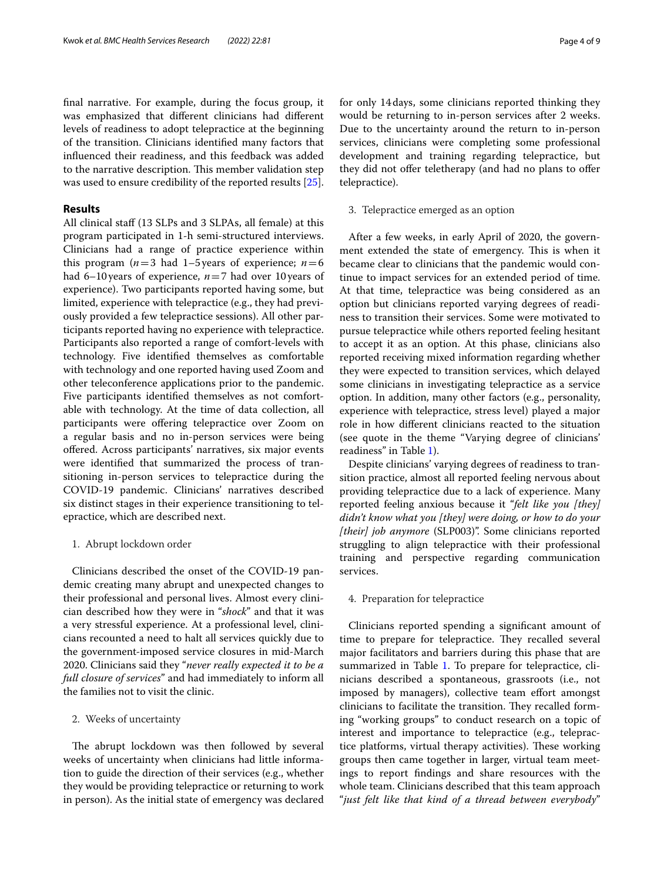fnal narrative. For example, during the focus group, it was emphasized that diferent clinicians had diferent levels of readiness to adopt telepractice at the beginning of the transition. Clinicians identifed many factors that infuenced their readiness, and this feedback was added to the narrative description. This member validation step was used to ensure credibility of the reported results [\[25](#page-8-0)].

# **Results**

All clinical staf (13 SLPs and 3 SLPAs, all female) at this program participated in 1-h semi-structured interviews. Clinicians had a range of practice experience within this program ( $n=3$  had 1–5 years of experience;  $n=6$ had 6–10years of experience, *n*=7 had over 10years of experience). Two participants reported having some, but limited, experience with telepractice (e.g., they had previously provided a few telepractice sessions). All other participants reported having no experience with telepractice. Participants also reported a range of comfort-levels with technology. Five identifed themselves as comfortable with technology and one reported having used Zoom and other teleconference applications prior to the pandemic. Five participants identifed themselves as not comfortable with technology. At the time of data collection, all participants were offering telepractice over Zoom on a regular basis and no in-person services were being ofered. Across participants' narratives, six major events were identifed that summarized the process of transitioning in-person services to telepractice during the COVID-19 pandemic. Clinicians' narratives described six distinct stages in their experience transitioning to telepractice, which are described next.

# 1. Abrupt lockdown order

Clinicians described the onset of the COVID-19 pandemic creating many abrupt and unexpected changes to their professional and personal lives. Almost every clinician described how they were in "*shock*" and that it was a very stressful experience. At a professional level, clinicians recounted a need to halt all services quickly due to the government-imposed service closures in mid-March 2020. Clinicians said they "*never really expected it to be a full closure of services*" and had immediately to inform all the families not to visit the clinic.

# 2. Weeks of uncertainty

The abrupt lockdown was then followed by several weeks of uncertainty when clinicians had little information to guide the direction of their services (e.g., whether they would be providing telepractice or returning to work in person). As the initial state of emergency was declared for only 14days, some clinicians reported thinking they would be returning to in-person services after 2 weeks. Due to the uncertainty around the return to in-person services, clinicians were completing some professional development and training regarding telepractice, but they did not offer teletherapy (and had no plans to offer telepractice).

# 3. Telepractice emerged as an option

After a few weeks, in early April of 2020, the government extended the state of emergency. This is when it became clear to clinicians that the pandemic would continue to impact services for an extended period of time. At that time, telepractice was being considered as an option but clinicians reported varying degrees of readiness to transition their services. Some were motivated to pursue telepractice while others reported feeling hesitant to accept it as an option. At this phase, clinicians also reported receiving mixed information regarding whether they were expected to transition services, which delayed some clinicians in investigating telepractice as a service option. In addition, many other factors (e.g., personality, experience with telepractice, stress level) played a major role in how diferent clinicians reacted to the situation (see quote in the theme "Varying degree of clinicians' readiness" in Table [1\)](#page-4-0).

Despite clinicians' varying degrees of readiness to transition practice, almost all reported feeling nervous about providing telepractice due to a lack of experience. Many reported feeling anxious because it "*felt like you [they] didn't know what you [they] were doing, or how to do your [their] job anymore* (SLP003)". Some clinicians reported struggling to align telepractice with their professional training and perspective regarding communication services.

# 4. Preparation for telepractice

Clinicians reported spending a signifcant amount of time to prepare for telepractice. They recalled several major facilitators and barriers during this phase that are summarized in Table [1.](#page-4-0) To prepare for telepractice, clinicians described a spontaneous, grassroots (i.e., not imposed by managers), collective team effort amongst clinicians to facilitate the transition. They recalled forming "working groups" to conduct research on a topic of interest and importance to telepractice (e.g., telepractice platforms, virtual therapy activities). These working groups then came together in larger, virtual team meetings to report fndings and share resources with the whole team. Clinicians described that this team approach "*just felt like that kind of a thread between everybody*"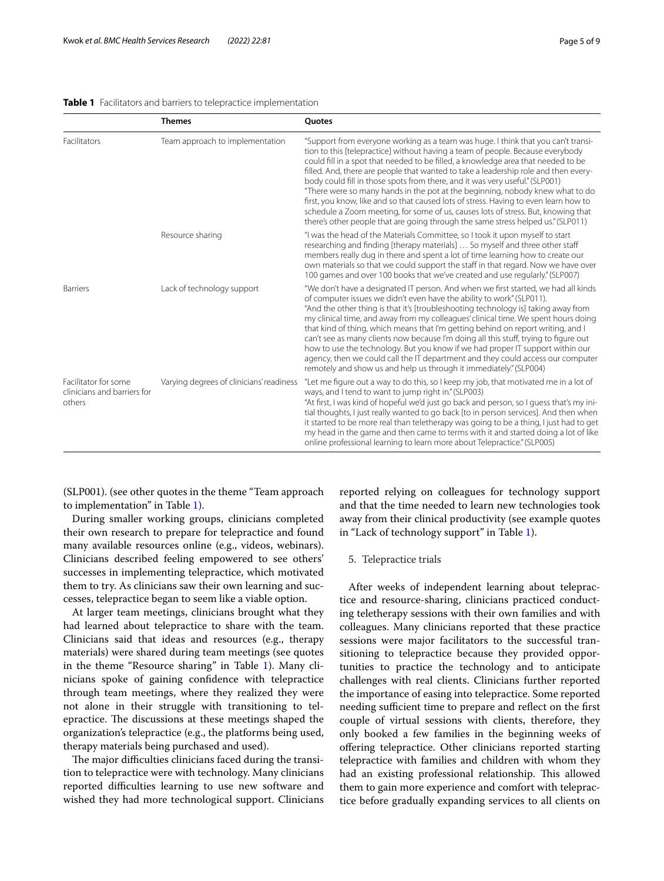<span id="page-4-0"></span>

|                                                               | <b>Themes</b>                            | <b>Ouotes</b>                                                                                                                                                                                                                                                                                                                                                                                                                                                                                                                                                                                                                                                                                                                                                                     |
|---------------------------------------------------------------|------------------------------------------|-----------------------------------------------------------------------------------------------------------------------------------------------------------------------------------------------------------------------------------------------------------------------------------------------------------------------------------------------------------------------------------------------------------------------------------------------------------------------------------------------------------------------------------------------------------------------------------------------------------------------------------------------------------------------------------------------------------------------------------------------------------------------------------|
| Facilitators                                                  | Team approach to implementation          | "Support from everyone working as a team was huge. I think that you can't transi-<br>tion to this [telepractice] without having a team of people. Because everybody<br>could fill in a spot that needed to be filled, a knowledge area that needed to be<br>filled. And, there are people that wanted to take a leadership role and then every-<br>body could fill in those spots from there, and it was very useful." (SLP001)<br>"There were so many hands in the pot at the beginning, nobody knew what to do<br>first, you know, like and so that caused lots of stress. Having to even learn how to<br>schedule a Zoom meeting, for some of us, causes lots of stress. But, knowing that<br>there's other people that are going through the same stress helped us." (SLP011) |
|                                                               | Resource sharing                         | "I was the head of the Materials Committee, so I took it upon myself to start<br>researching and finding [therapy materials]  So myself and three other staff<br>members really dug in there and spent a lot of time learning how to create our<br>own materials so that we could support the staff in that regard. Now we have over<br>100 games and over 100 books that we've created and use regularly." (SLP007)                                                                                                                                                                                                                                                                                                                                                              |
| <b>Barriers</b>                                               | Lack of technology support               | "We don't have a designated IT person. And when we first started, we had all kinds<br>of computer issues we didn't even have the ability to work" (SLP011).<br>"And the other thing is that it's [troubleshooting technology is] taking away from<br>my clinical time, and away from my colleagues' clinical time. We spent hours doing<br>that kind of thing, which means that I'm getting behind on report writing, and I<br>can't see as many clients now because I'm doing all this stuff, trying to figure out<br>how to use the technology. But you know if we had proper IT support within our<br>agency, then we could call the IT department and they could access our computer<br>remotely and show us and help us through it immediately." (SLP004)                    |
| Facilitator for some<br>clinicians and barriers for<br>others | Varying degrees of clinicians' readiness | "Let me figure out a way to do this, so I keep my job, that motivated me in a lot of<br>ways, and I tend to want to jump right in." (SLP003)<br>"At first, I was kind of hopeful we'd just go back and person, so I quess that's my ini-<br>tial thoughts, I just really wanted to go back [to in person services]. And then when<br>it started to be more real than teletherapy was going to be a thing, I just had to get<br>my head in the game and then came to terms with it and started doing a lot of like<br>online professional learning to learn more about Telepractice." (SLP005)                                                                                                                                                                                     |

(SLP001). (see other quotes in the theme "Team approach to implementation" in Table [1\)](#page-4-0).

During smaller working groups, clinicians completed their own research to prepare for telepractice and found many available resources online (e.g., videos, webinars). Clinicians described feeling empowered to see others' successes in implementing telepractice, which motivated them to try. As clinicians saw their own learning and successes, telepractice began to seem like a viable option.

At larger team meetings, clinicians brought what they had learned about telepractice to share with the team. Clinicians said that ideas and resources (e.g., therapy materials) were shared during team meetings (see quotes in the theme "Resource sharing" in Table [1\)](#page-4-0). Many clinicians spoke of gaining confdence with telepractice through team meetings, where they realized they were not alone in their struggle with transitioning to telepractice. The discussions at these meetings shaped the organization's telepractice (e.g., the platforms being used, therapy materials being purchased and used).

The major difficulties clinicians faced during the transition to telepractice were with technology. Many clinicians reported difficulties learning to use new software and wished they had more technological support. Clinicians

reported relying on colleagues for technology support and that the time needed to learn new technologies took away from their clinical productivity (see example quotes in "Lack of technology support" in Table [1](#page-4-0)).

## 5. Telepractice trials

After weeks of independent learning about telepractice and resource-sharing, clinicians practiced conducting teletherapy sessions with their own families and with colleagues. Many clinicians reported that these practice sessions were major facilitators to the successful transitioning to telepractice because they provided opportunities to practice the technology and to anticipate challenges with real clients. Clinicians further reported the importance of easing into telepractice. Some reported needing sufficient time to prepare and reflect on the first couple of virtual sessions with clients, therefore, they only booked a few families in the beginning weeks of ofering telepractice. Other clinicians reported starting telepractice with families and children with whom they had an existing professional relationship. This allowed them to gain more experience and comfort with telepractice before gradually expanding services to all clients on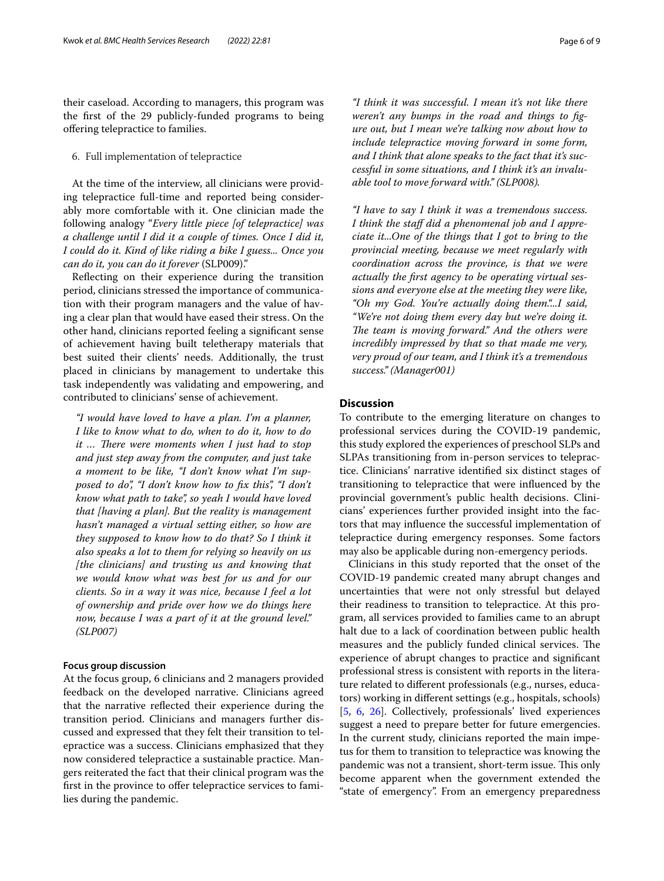their caseload. According to managers, this program was the frst of the 29 publicly-funded programs to being ofering telepractice to families.

6. Full implementation of telepractice

At the time of the interview, all clinicians were providing telepractice full-time and reported being considerably more comfortable with it. One clinician made the following analogy "*Every little piece [of telepractice] was a challenge until I did it a couple of times. Once I did it, I could do it. Kind of like riding a bike I guess... Once you can do it, you can do it forever* (SLP009)."

Refecting on their experience during the transition period, clinicians stressed the importance of communication with their program managers and the value of having a clear plan that would have eased their stress. On the other hand, clinicians reported feeling a signifcant sense of achievement having built teletherapy materials that best suited their clients' needs. Additionally, the trust placed in clinicians by management to undertake this task independently was validating and empowering, and contributed to clinicians' sense of achievement.

*"I would have loved to have a plan. I'm a planner, I like to know what to do, when to do it, how to do it* ... There were moments when I just had to stop *and just step away from the computer, and just take a moment to be like, "I don't know what I'm supposed to do", "I don't know how to fx this", "I don't know what path to take", so yeah I would have loved that [having a plan]. But the reality is management hasn't managed a virtual setting either, so how are they supposed to know how to do that? So I think it also speaks a lot to them for relying so heavily on us [the clinicians] and trusting us and knowing that we would know what was best for us and for our clients. So in a way it was nice, because I feel a lot of ownership and pride over how we do things here now, because I was a part of it at the ground level." (SLP007)*

# **Focus group discussion**

At the focus group, 6 clinicians and 2 managers provided feedback on the developed narrative. Clinicians agreed that the narrative refected their experience during the transition period. Clinicians and managers further discussed and expressed that they felt their transition to telepractice was a success. Clinicians emphasized that they now considered telepractice a sustainable practice. Mangers reiterated the fact that their clinical program was the first in the province to offer telepractice services to families during the pandemic.

*"I think it was successful. I mean it's not like there weren't any bumps in the road and things to fgure out, but I mean we're talking now about how to include telepractice moving forward in some form, and I think that alone speaks to the fact that it's successful in some situations, and I think it's an invaluable tool to move forward with." (SLP008).*

*"I have to say I think it was a tremendous success. I think the staf did a phenomenal job and I appreciate it...One of the things that I got to bring to the provincial meeting, because we meet regularly with coordination across the province, is that we were actually the frst agency to be operating virtual sessions and everyone else at the meeting they were like, "Oh my God. You're actually doing them."...I said, "We're not doing them every day but we're doing it. The team is moving forward.*" *And the others were incredibly impressed by that so that made me very, very proud of our team, and I think it's a tremendous success." (Manager001)*

# **Discussion**

To contribute to the emerging literature on changes to professional services during the COVID-19 pandemic, this study explored the experiences of preschool SLPs and SLPAs transitioning from in-person services to telepractice. Clinicians' narrative identifed six distinct stages of transitioning to telepractice that were infuenced by the provincial government's public health decisions. Clinicians' experiences further provided insight into the factors that may infuence the successful implementation of telepractice during emergency responses. Some factors may also be applicable during non-emergency periods.

Clinicians in this study reported that the onset of the COVID-19 pandemic created many abrupt changes and uncertainties that were not only stressful but delayed their readiness to transition to telepractice. At this program, all services provided to families came to an abrupt halt due to a lack of coordination between public health measures and the publicly funded clinical services. The experience of abrupt changes to practice and signifcant professional stress is consistent with reports in the literature related to diferent professionals (e.g., nurses, educators) working in diferent settings (e.g., hospitals, schools) [[5,](#page-7-4) [6,](#page-7-5) [26\]](#page-8-1). Collectively, professionals' lived experiences suggest a need to prepare better for future emergencies. In the current study, clinicians reported the main impetus for them to transition to telepractice was knowing the pandemic was not a transient, short-term issue. This only become apparent when the government extended the "state of emergency". From an emergency preparedness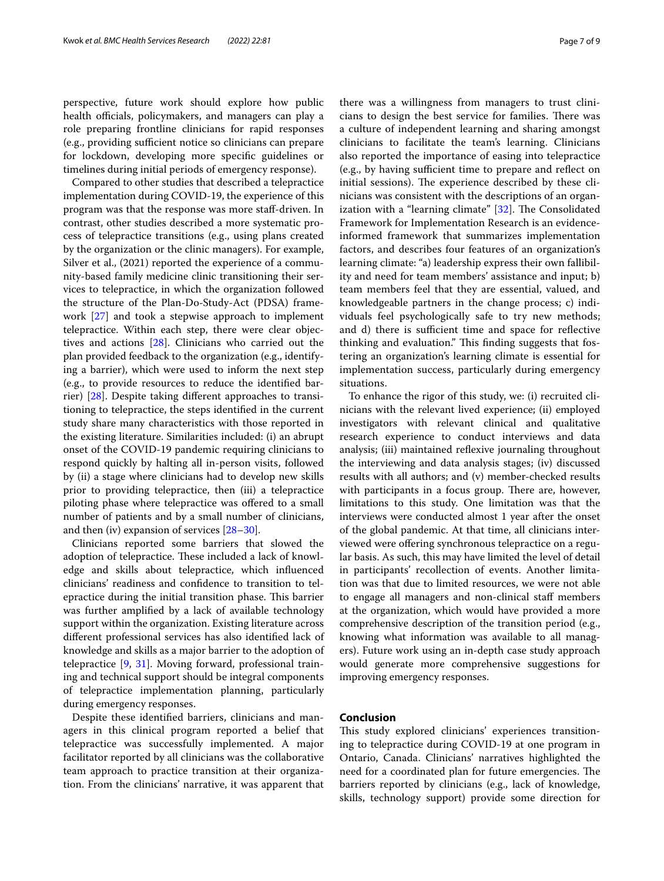perspective, future work should explore how public health officials, policymakers, and managers can play a role preparing frontline clinicians for rapid responses (e.g., providing sufficient notice so clinicians can prepare for lockdown, developing more specifc guidelines or timelines during initial periods of emergency response).

Compared to other studies that described a telepractice implementation during COVID-19, the experience of this program was that the response was more staf-driven. In contrast, other studies described a more systematic process of telepractice transitions (e.g., using plans created by the organization or the clinic managers). For example, Silver et al., (2021) reported the experience of a community-based family medicine clinic transitioning their services to telepractice, in which the organization followed the structure of the Plan-Do-Study-Act (PDSA) framework [[27\]](#page-8-2) and took a stepwise approach to implement telepractice. Within each step, there were clear objectives and actions [\[28](#page-8-3)]. Clinicians who carried out the plan provided feedback to the organization (e.g., identifying a barrier), which were used to inform the next step (e.g., to provide resources to reduce the identifed barrier) [\[28](#page-8-3)]. Despite taking diferent approaches to transitioning to telepractice, the steps identifed in the current study share many characteristics with those reported in the existing literature. Similarities included: (i) an abrupt onset of the COVID-19 pandemic requiring clinicians to respond quickly by halting all in-person visits, followed by (ii) a stage where clinicians had to develop new skills prior to providing telepractice, then (iii) a telepractice piloting phase where telepractice was ofered to a small number of patients and by a small number of clinicians, and then (iv) expansion of services [[28–](#page-8-3)[30](#page-8-4)].

Clinicians reported some barriers that slowed the adoption of telepractice. These included a lack of knowledge and skills about telepractice, which infuenced clinicians' readiness and confdence to transition to telepractice during the initial transition phase. This barrier was further amplifed by a lack of available technology support within the organization. Existing literature across diferent professional services has also identifed lack of knowledge and skills as a major barrier to the adoption of telepractice [[9,](#page-7-8) [31\]](#page-8-5). Moving forward, professional training and technical support should be integral components of telepractice implementation planning, particularly during emergency responses.

Despite these identifed barriers, clinicians and managers in this clinical program reported a belief that telepractice was successfully implemented. A major facilitator reported by all clinicians was the collaborative team approach to practice transition at their organization. From the clinicians' narrative, it was apparent that there was a willingness from managers to trust clinicians to design the best service for families. There was a culture of independent learning and sharing amongst clinicians to facilitate the team's learning. Clinicians also reported the importance of easing into telepractice (e.g., by having sufficient time to prepare and reflect on initial sessions). The experience described by these clinicians was consistent with the descriptions of an organization with a "learning climate"  $[32]$  $[32]$  $[32]$ . The Consolidated Framework for Implementation Research is an evidenceinformed framework that summarizes implementation factors, and describes four features of an organization's learning climate: "a) leadership express their own fallibility and need for team members' assistance and input; b) team members feel that they are essential, valued, and knowledgeable partners in the change process; c) individuals feel psychologically safe to try new methods; and d) there is sufficient time and space for reflective thinking and evaluation." This finding suggests that fostering an organization's learning climate is essential for implementation success, particularly during emergency situations.

To enhance the rigor of this study, we: (i) recruited clinicians with the relevant lived experience; (ii) employed investigators with relevant clinical and qualitative research experience to conduct interviews and data analysis; (iii) maintained refexive journaling throughout the interviewing and data analysis stages; (iv) discussed results with all authors; and (v) member-checked results with participants in a focus group. There are, however, limitations to this study. One limitation was that the interviews were conducted almost 1 year after the onset of the global pandemic. At that time, all clinicians interviewed were offering synchronous telepractice on a regular basis. As such, this may have limited the level of detail in participants' recollection of events. Another limitation was that due to limited resources, we were not able to engage all managers and non-clinical staf members at the organization, which would have provided a more comprehensive description of the transition period (e.g., knowing what information was available to all managers). Future work using an in-depth case study approach would generate more comprehensive suggestions for improving emergency responses.

# **Conclusion**

This study explored clinicians' experiences transitioning to telepractice during COVID-19 at one program in Ontario, Canada. Clinicians' narratives highlighted the need for a coordinated plan for future emergencies. The barriers reported by clinicians (e.g., lack of knowledge, skills, technology support) provide some direction for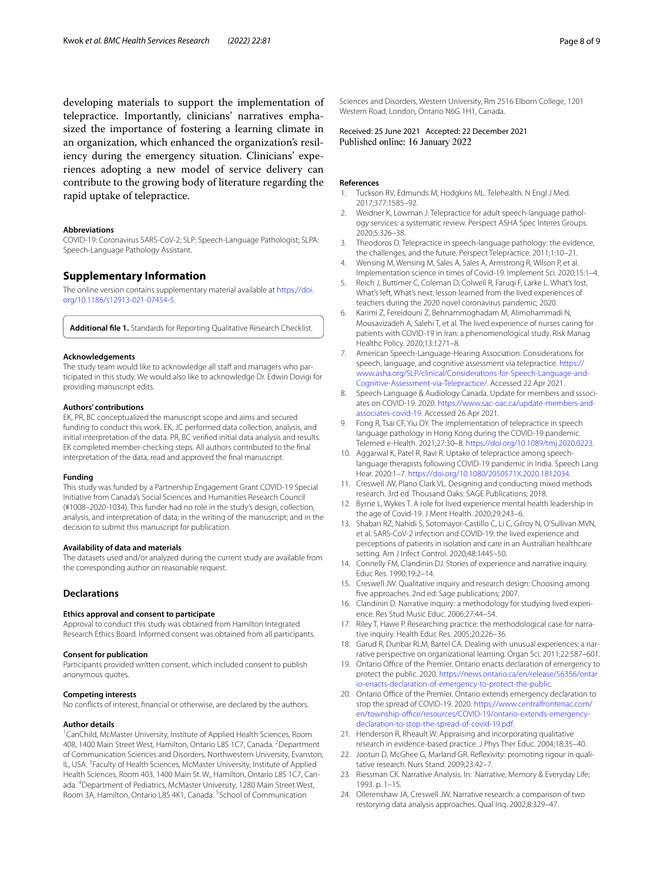developing materials to support the implementation of telepractice. Importantly, clinicians' narratives emphasized the importance of fostering a learning climate in an organization, which enhanced the organization's resiliency during the emergency situation. Clinicians' experiences adopting a new model of service delivery can contribute to the growing body of literature regarding the rapid uptake of telepractice.

#### **Abbreviations**

COVID-19: Coronavirus SARS-CoV-2; SLP: Speech-Language Pathologist; SLPA: Speech-Language Pathology Assistant.

## **Supplementary Information**

The online version contains supplementary material available at [https://doi.](https://doi.org/10.1186/s12913-021-07454-5) [org/10.1186/s12913-021-07454-5](https://doi.org/10.1186/s12913-021-07454-5).

**Additional fle 1.** Standards for Reporting Qualitative Research Checklist.

### **Acknowledgements**

The study team would like to acknowledge all staff and managers who participated in this study. We would also like to acknowledge Dr. Edwin Dovigi for providing manuscript edits.

### **Authors' contributions**

EK, PR, BC conceptualized the manuscript scope and aims and secured funding to conduct this work. EK, JC performed data collection, analysis, and initial interpretation of the data. PR, BC verifed initial data analysis and results. EK completed member-checking steps. All authors contributed to the fnal interpretation of the data, read and approved the fnal manuscript.

### **Funding**

This study was funded by a Partnership Engagement Grant COVID-19 Special Initiative from Canada's Social Sciences and Humanities Research Council (#1008–2020-1034). This funder had no role in the study's design, collection, analysis, and interpretation of data; in the writing of the manuscript; and in the decision to submit this manuscript for publication.

### **Availability of data and materials**

The datasets used and/or analyzed during the current study are available from the corresponding author on reasonable request.

# **Declarations**

### **Ethics approval and consent to participate**

Approval to conduct this study was obtained from Hamilton Integrated Research Ethics Board. Informed consent was obtained from all participants.

### **Consent for publication**

Participants provided written consent, which included consent to publish anonymous quotes.

#### **Competing interests**

No conficts of interest, fnancial or otherwise, are declared by the authors.

#### **Author details**

<sup>1</sup> CanChild, McMaster University, Institute of Applied Health Sciences, Room 408, 1400 Main Street West, Hamilton, Ontario L8S 1C7, Canada. <sup>2</sup> Department of Communication Sciences and Disorders, Northwestern University, Evanston, IL, USA.<sup>3</sup> Faculty of Health Sciences, McMaster University, Institute of Applied Health Sciences, Room 403, 1400 Main St. W., Hamilton, Ontario L8S 1C7, Canada. <sup>4</sup> Department of Pediatrics, McMaster University, 1280 Main Street West, Room 3A, Hamilton, Ontario L8S 4K1, Canada. <sup>5</sup>School of Communication

Sciences and Disorders, Western University, Rm 2516 Elborn College, 1201 Western Road, London, Ontario N6G 1H1, Canada.

Received: 25 June 2021 Accepted: 22 December 2021<br>Published online: 16 January 2022

### **References**

- <span id="page-7-0"></span>1. Tuckson RV, Edmunds M, Hodgkins ML. Telehealth. N Engl J Med. 2017;377:1585–92.
- <span id="page-7-1"></span>2. Weidner K, Lowman J. Telepractice for adult speech-language pathology services: a systematic review. Perspect ASHA Spec Interes Groups. 2020;5:326–38.
- <span id="page-7-2"></span>3. Theodoros D. Telepractice in speech-language pathology: the evidence, the challenges, and the future. Perspect Telepractice. 2011;1:10–21.
- <span id="page-7-3"></span>4. Wensing M, Wensing M, Sales A, Sales A, Armstrong R, Wilson P, et al. Implementation science in times of Covid-19. Implement Sci. 2020;15:1–4.
- <span id="page-7-4"></span>5. Reich J, Buttimer C, Coleman D, Colwell R, Faruqi F, Larke L. What's lost, What's left, What's next: lesson learned from the lived experiences of teachers during the 2020 novel coronavirus pandemic; 2020.
- <span id="page-7-5"></span>6. Karimi Z, Fereidouni Z, Behnammoghadam M, Alimohammadi N, Mousavizadeh A, Salehi T, et al. The lived experience of nurses caring for patients with COVID-19 in Iran: a phenomenological study. Risk Manag Healthc Policy. 2020;13:1271–8.
- <span id="page-7-6"></span>7. American Speech-Language-Hearing Association. Considerations for speech, language, and cognitive assessment via telepractice. [https://](https://www.asha.org/SLP/clinical/Considerations-for-Speech-Language-and-Cognitive-Assessment-via-Telepractice/) [www.asha.org/SLP/clinical/Considerations-for-Speech-Language-and-](https://www.asha.org/SLP/clinical/Considerations-for-Speech-Language-and-Cognitive-Assessment-via-Telepractice/)[Cognitive-Assessment-via-Telepractice/](https://www.asha.org/SLP/clinical/Considerations-for-Speech-Language-and-Cognitive-Assessment-via-Telepractice/). Accessed 22 Apr 2021.
- <span id="page-7-7"></span>Speech-Language & Audiology Canada. Update for members and sssociates on COVID-19. 2020. [https://www.sac-oac.ca/update-members-and](https://www.sac-oac.ca/update-members-and-associates-covid-19)[associates-covid-19](https://www.sac-oac.ca/update-members-and-associates-covid-19). Accessed 26 Apr 2021.
- <span id="page-7-8"></span>9. Fong R, Tsai CF, Yiu OY. The implementation of telepractice in speech language pathology in Hong Kong during the COVID-19 pandemic. Telemed e-Health. 2021;27:30–8. [https://doi.org/10.1089/tmj.2020.0223.](https://doi.org/10.1089/tmj.2020.0223)
- <span id="page-7-9"></span>10. Aggarwal K, Patel R, Ravi R. Uptake of telepractice among speechlanguage therapists following COVID-19 pandemic in India. Speech Lang Hear. 2020:1–7. [https://doi.org/10.1080/2050571X.2020.1812034.](https://doi.org/10.1080/2050571X.2020.1812034)
- <span id="page-7-10"></span>11. Creswell JW, Plano Clark VL. Designing and conducting mixed methods research. 3rd ed. Thousand Oaks: SAGE Publications; 2018.
- <span id="page-7-11"></span>12. Byrne L, Wykes T. A role for lived experience mental health leadership in the age of Covid-19. J Ment Health. 2020;29:243–6.
- <span id="page-7-12"></span>13. Shaban RZ, Nahidi S, Sotomayor-Castillo C, Li C, Gilroy N, O'Sullivan MVN, et al. SARS-CoV-2 infection and COVID-19: the lived experience and perceptions of patients in isolation and care in an Australian healthcare setting. Am J Infect Control. 2020;48:1445–50.
- <span id="page-7-13"></span>14. Connelly FM, Clandinin DJ. Stories of experience and narrative inquiry. Educ Res. 1990;19:2–14.
- <span id="page-7-14"></span>15. Creswell JW. Qualitative inquiry and research design: Choosing among fve approaches. 2nd ed: Sage publications; 2007.
- <span id="page-7-15"></span>16. Clandinin D. Narrative inquiry: a methodology for studying lived experience. Res Stud Music Educ. 2006;27:44–54.
- <span id="page-7-16"></span>17. Riley T, Hawe P. Researching practice: the methodological case for narrative inquiry. Health Educ Res. 2005;20:226–36.
- <span id="page-7-17"></span>18. Garud R, Dunbar RLM, Bartel CA. Dealing with unusual experiences: a narrative perspective on organizational learning. Organ Sci. 2011;22:587–601.
- <span id="page-7-18"></span>19. Ontario Office of the Premier. Ontario enacts declaration of emergency to protect the public. 2020. [https://news.ontario.ca/en/release/56356/ontar](https://news.ontario.ca/en/release/56356/ontario-enacts-declaration-of-emergency-to-protect-the-public) [io-enacts-declaration-of-emergency-to-protect-the-public](https://news.ontario.ca/en/release/56356/ontario-enacts-declaration-of-emergency-to-protect-the-public).
- <span id="page-7-19"></span>20. Ontario Office of the Premier. Ontario extends emergency declaration to stop the spread of COVID-19. 2020. [https://www.centralfrontenac.com/](https://www.centralfrontenac.com/en/township-office/resources/COVID-19/ontario-extends-emergency-declaration-to-stop-the-spread-of-covid-19.pdf) en/township-office/resources/COVID-19/ontario-extends-emergency[declaration-to-stop-the-spread-of-covid-19.pdf](https://www.centralfrontenac.com/en/township-office/resources/COVID-19/ontario-extends-emergency-declaration-to-stop-the-spread-of-covid-19.pdf).
- <span id="page-7-20"></span>21. Henderson R, Rheault W. Appraising and incorporating qualitative research in evidence-based practice. J Phys Ther Educ. 2004;18:35–40.
- <span id="page-7-21"></span>22. Jootun D, McGhee G, Marland GR. Refexivity: promoting rigour in qualitative research. Nurs Stand. 2009;23:42–7.
- <span id="page-7-22"></span>23. Riessman CK. Narrative Analysis. In: Narrative, Memory & Everyday Life; 1993. p. 1–15.
- <span id="page-7-23"></span>24. Ollerenshaw JA, Creswell JW. Narrative research: a comparison of two restorying data analysis approaches. Qual Inq. 2002;8:329–47.